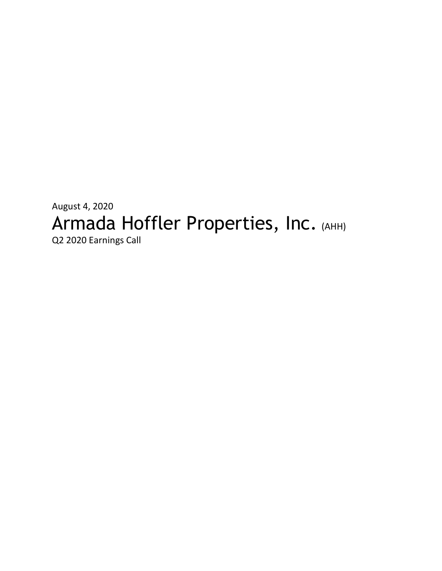# August 4, 2020 Armada Hoffler Properties, Inc. (AHH) Q2 2020 Earnings Call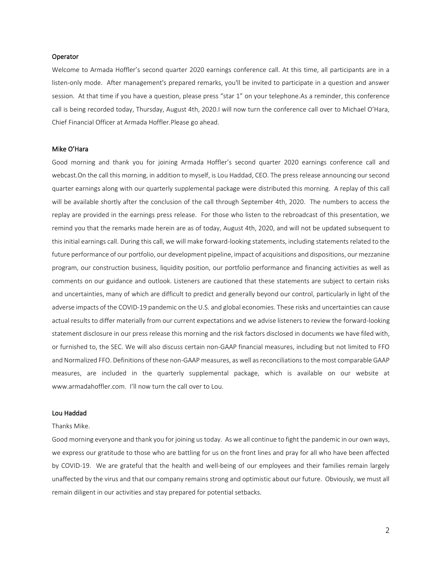#### Operator

Welcome to Armada Hoffler's second quarter 2020 earnings conference call. At this time, all participants are in a listen-only mode. After management's prepared remarks, you'll be invited to participate in a question and answer session. At that time if you have a question, please press "star 1" on your telephone.As a reminder, this conference call is being recorded today, Thursday, August 4th, 2020.I will now turn the conference call over to Michael O'Hara, Chief Financial Officer at Armada Hoffler.Please go ahead.

#### Mike O'Hara

Good morning and thank you for joining Armada Hoffler's second quarter 2020 earnings conference call and webcast.On the call this morning, in addition to myself, is Lou Haddad, CEO. The press release announcing our second quarter earnings along with our quarterly supplemental package were distributed this morning. A replay of this call will be available shortly after the conclusion of the call through September 4th, 2020. The numbers to access the replay are provided in the earnings press release. For those who listen to the rebroadcast of this presentation, we remind you that the remarks made herein are as of today, August 4th, 2020, and will not be updated subsequent to this initial earnings call. During this call, we will make forward-looking statements, including statements related to the future performance of our portfolio, our development pipeline, impact of acquisitions and dispositions, our mezzanine program, our construction business, liquidity position, our portfolio performance and financing activities as well as comments on our guidance and outlook. Listeners are cautioned that these statements are subject to certain risks and uncertainties, many of which are difficult to predict and generally beyond our control, particularly in light of the adverse impacts of the COVID-19 pandemic on the U.S. and global economies. These risks and uncertainties can cause actual results to differ materially from our current expectations and we advise listeners to review the forward-looking statement disclosure in our press release this morning and the risk factors disclosed in documents we have filed with, or furnished to, the SEC. We will also discuss certain non-GAAP financial measures, including but not limited to FFO and Normalized FFO. Definitions of these non-GAAP measures, as well as reconciliations to the most comparable GAAP measures, are included in the quarterly supplemental package, which is available on our website at [www.armadahoffler.com.](http://www.armadahoffler.com/) I'll now turn the call over to Lou.

## Lou Haddad

#### Thanks Mike.

Good morning everyone and thank you for joining us today. As we all continue to fight the pandemic in our own ways, we express our gratitude to those who are battling for us on the front lines and pray for all who have been affected by COVID-19. We are grateful that the health and well-being of our employees and their families remain largely unaffected by the virus and that our company remains strong and optimistic about our future. Obviously, we must all remain diligent in our activities and stay prepared for potential setbacks.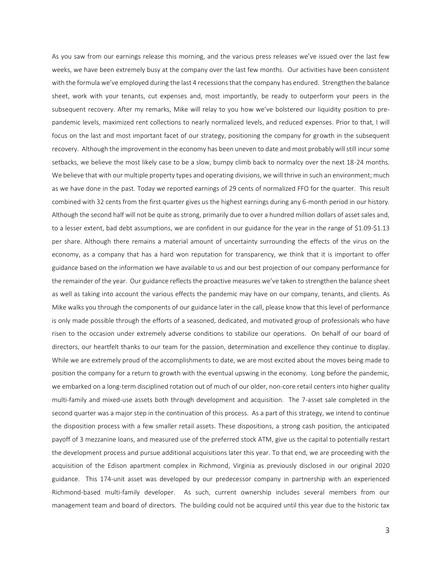As you saw from our earnings release this morning, and the various press releases we've issued over the last few weeks, we have been extremely busy at the company over the last few months. Our activities have been consistent with the formula we've employed during the last 4 recessions that the company has endured. Strengthen the balance sheet, work with your tenants, cut expenses and, most importantly, be ready to outperform your peers in the subsequent recovery. After my remarks, Mike will relay to you how we've bolstered our liquidity position to prepandemic levels, maximized rent collections to nearly normalized levels, and reduced expenses. Prior to that, I will focus on the last and most important facet of our strategy, positioning the company for growth in the subsequent recovery. Although the improvement in the economy has been uneven to date and most probably will still incur some setbacks, we believe the most likely case to be a slow, bumpy climb back to normalcy over the next 18-24 months. We believe that with our multiple property types and operating divisions, we will thrive in such an environment; much as we have done in the past. Today we reported earnings of 29 cents of normalized FFO for the quarter. This result combined with 32 cents from the first quarter gives us the highest earnings during any 6-month period in our history. Although the second half will not be quite as strong, primarily due to over a hundred million dollars of asset sales and, to a lesser extent, bad debt assumptions, we are confident in our guidance for the year in the range of \$1.09-\$1.13 per share. Although there remains a material amount of uncertainty surrounding the effects of the virus on the economy, as a company that has a hard won reputation for transparency, we think that it is important to offer guidance based on the information we have available to us and our best projection of our company performance for the remainder of the year. Our guidance reflects the proactive measures we've taken to strengthen the balance sheet as well as taking into account the various effects the pandemic may have on our company, tenants, and clients. As Mike walks you through the components of our guidance later in the call, please know that this level of performance is only made possible through the efforts of a seasoned, dedicated, and motivated group of professionals who have risen to the occasion under extremely adverse conditions to stabilize our operations. On behalf of our board of directors, our heartfelt thanks to our team for the passion, determination and excellence they continue to display. While we are extremely proud of the accomplishments to date, we are most excited about the moves being made to position the company for a return to growth with the eventual upswing in the economy. Long before the pandemic, we embarked on a long-term disciplined rotation out of much of our older, non-core retail centers into higher quality multi-family and mixed-use assets both through development and acquisition. The 7-asset sale completed in the second quarter was a major step in the continuation of this process. As a part of this strategy, we intend to continue the disposition process with a few smaller retail assets. These dispositions, a strong cash position, the anticipated payoff of 3 mezzanine loans, and measured use of the preferred stock ATM, give us the capital to potentially restart the development process and pursue additional acquisitions later this year. To that end, we are proceeding with the acquisition of the Edison apartment complex in Richmond, Virginia as previously disclosed in our original 2020 guidance. This 174-unit asset was developed by our predecessor company in partnership with an experienced Richmond-based multi-family developer. As such, current ownership includes several members from our management team and board of directors. The building could not be acquired until this year due to the historic tax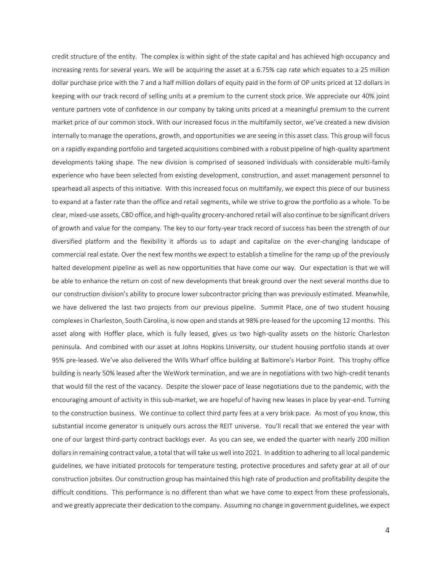credit structure of the entity. The complex is within sight of the state capital and has achieved high occupancy and increasing rents for several years. We will be acquiring the asset at a 6.75% cap rate which equates to a 25 million dollar purchase price with the 7 and a half million dollars of equity paid in the form of OP units priced at 12 dollars in keeping with our track record of selling units at a premium to the current stock price. We appreciate our 40% joint venture partners vote of confidence in our company by taking units priced at a meaningful premium to the current market price of our common stock. With our increased focus in the multifamily sector, we've created a new division internally to manage the operations, growth, and opportunities we are seeing in this asset class. This group will focus on a rapidly expanding portfolio and targeted acquisitions combined with a robust pipeline of high-quality apartment developments taking shape. The new division is comprised of seasoned individuals with considerable multi-family experience who have been selected from existing development, construction, and asset management personnel to spearhead all aspects of this initiative. With this increased focus on multifamily, we expect this piece of our business to expand at a faster rate than the office and retail segments, while we strive to grow the portfolio as a whole. To be clear, mixed-use assets, CBD office, and high-quality grocery-anchored retail will also continue to be significant drivers of growth and value for the company. The key to our forty-year track record of success has been the strength of our diversified platform and the flexibility it affords us to adapt and capitalize on the ever-changing landscape of commercial real estate. Over the next few months we expect to establish a timeline for the ramp up of the previously halted development pipeline as well as new opportunities that have come our way. Our expectation is that we will be able to enhance the return on cost of new developments that break ground over the next several months due to our construction division's ability to procure lower subcontractor pricing than was previously estimated. Meanwhile, we have delivered the last two projects from our previous pipeline. Summit Place, one of two student housing complexes in Charleston, South Carolina, is now open and stands at 98% pre-leased for the upcoming 12 months. This asset along with Hoffler place, which is fully leased, gives us two high-quality assets on the historic Charleston peninsula. And combined with our asset at Johns Hopkins University, our student housing portfolio stands at over 95% pre-leased. We've also delivered the Wills Wharf office building at Baltimore's Harbor Point. This trophy office building is nearly 50% leased after the WeWork termination, and we are in negotiations with two high-credit tenants that would fill the rest of the vacancy. Despite the slower pace of lease negotiations due to the pandemic, with the encouraging amount of activity in this sub-market, we are hopeful of having new leases in place by year-end. Turning to the construction business. We continue to collect third party fees at a very brisk pace. As most of you know, this substantial income generator is uniquely ours across the REIT universe. You'll recall that we entered the year with one of our largest third-party contract backlogs ever. As you can see, we ended the quarter with nearly 200 million dollars in remaining contract value, a total that will take us well into 2021. In addition to adhering to all local pandemic guidelines, we have initiated protocols for temperature testing, protective procedures and safety gear at all of our construction jobsites. Our construction group has maintained this high rate of production and profitability despite the difficult conditions. This performance is no different than what we have come to expect from these professionals, and we greatly appreciate their dedication to the company. Assuming no change in government guidelines, we expect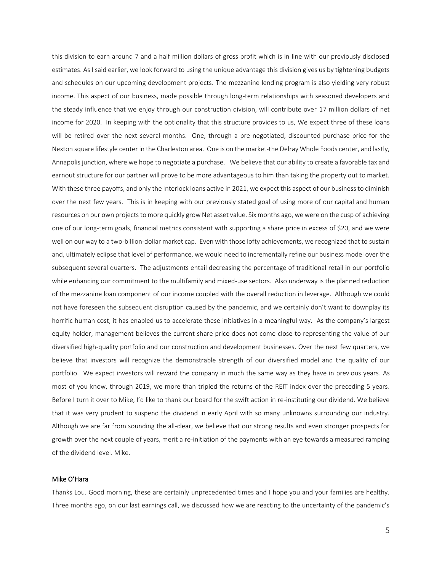this division to earn around 7 and a half million dollars of gross profit which is in line with our previously disclosed estimates. As I said earlier, we look forward to using the unique advantage this division gives us by tightening budgets and schedules on our upcoming development projects. The mezzanine lending program is also yielding very robust income. This aspect of our business, made possible through long-term relationships with seasoned developers and the steady influence that we enjoy through our construction division, will contribute over 17 million dollars of net income for 2020. In keeping with the optionality that this structure provides to us, We expect three of these loans will be retired over the next several months. One, through a pre-negotiated, discounted purchase price-for the Nexton square lifestyle center in the Charleston area. One is on the market-the Delray Whole Foods center, and lastly, Annapolis junction, where we hope to negotiate a purchase. We believe that our ability to create a favorable tax and earnout structure for our partner will prove to be more advantageous to him than taking the property out to market. With these three payoffs, and only the Interlock loans active in 2021, we expect this aspect of our business to diminish over the next few years. This is in keeping with our previously stated goal of using more of our capital and human resources on our own projects to more quickly grow Net asset value. Six months ago, we were on the cusp of achieving one of our long-term goals, financial metrics consistent with supporting a share price in excess of \$20, and we were well on our way to a two-billion-dollar market cap. Even with those lofty achievements, we recognized that to sustain and, ultimately eclipse that level of performance, we would need to incrementally refine our business model over the subsequent several quarters. The adjustments entail decreasing the percentage of traditional retail in our portfolio while enhancing our commitment to the multifamily and mixed-use sectors. Also underway is the planned reduction of the mezzanine loan component of our income coupled with the overall reduction in leverage. Although we could not have foreseen the subsequent disruption caused by the pandemic, and we certainly don't want to downplay its horrific human cost, it has enabled us to accelerate these initiatives in a meaningful way. As the company's largest equity holder, management believes the current share price does not come close to representing the value of our diversified high-quality portfolio and our construction and development businesses. Over the next few quarters, we believe that investors will recognize the demonstrable strength of our diversified model and the quality of our portfolio. We expect investors will reward the company in much the same way as they have in previous years. As most of you know, through 2019, we more than tripled the returns of the REIT index over the preceding 5 years. Before I turn it over to Mike, I'd like to thank our board for the swift action in re-instituting our dividend. We believe that it was very prudent to suspend the dividend in early April with so many unknowns surrounding our industry. Although we are far from sounding the all-clear, we believe that our strong results and even stronger prospects for growth over the next couple of years, merit a re-initiation of the payments with an eye towards a measured ramping of the dividend level. Mike.

## Mike O'Hara

Thanks Lou. Good morning, these are certainly unprecedented times and I hope you and your families are healthy. Three months ago, on our last earnings call, we discussed how we are reacting to the uncertainty of the pandemic's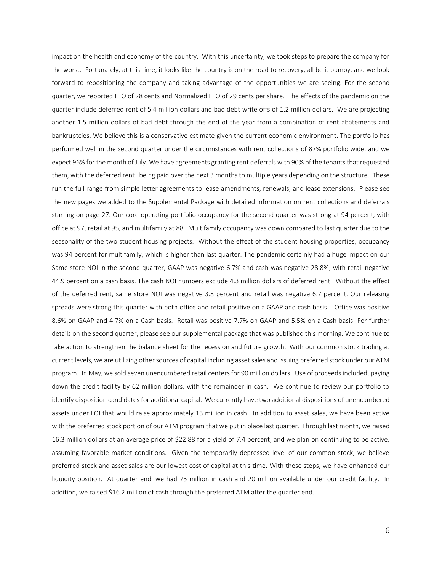impact on the health and economy of the country. With this uncertainty, we took steps to prepare the company for the worst. Fortunately, at this time, it looks like the country is on the road to recovery, all be it bumpy, and we look forward to repositioning the company and taking advantage of the opportunities we are seeing. For the second quarter, we reported FFO of 28 cents and Normalized FFO of 29 cents per share. The effects of the pandemic on the quarter include deferred rent of 5.4 million dollars and bad debt write offs of 1.2 million dollars. We are projecting another 1.5 million dollars of bad debt through the end of the year from a combination of rent abatements and bankruptcies. We believe this is a conservative estimate given the current economic environment. The portfolio has performed well in the second quarter under the circumstances with rent collections of 87% portfolio wide, and we expect 96% for the month of July. We have agreements granting rent deferrals with 90% of the tenants that requested them, with the deferred rent being paid over the next 3 months to multiple years depending on the structure. These run the full range from simple letter agreements to lease amendments, renewals, and lease extensions. Please see the new pages we added to the Supplemental Package with detailed information on rent collections and deferrals starting on page 27. Our core operating portfolio occupancy for the second quarter was strong at 94 percent, with office at 97, retail at 95, and multifamily at 88. Multifamily occupancy was down compared to last quarter due to the seasonality of the two student housing projects. Without the effect of the student housing properties, occupancy was 94 percent for multifamily, which is higher than last quarter. The pandemic certainly had a huge impact on our Same store NOI in the second quarter, GAAP was negative 6.7% and cash was negative 28.8%, with retail negative 44.9 percent on a cash basis. The cash NOI numbers exclude 4.3 million dollars of deferred rent. Without the effect of the deferred rent, same store NOI was negative 3.8 percent and retail was negative 6.7 percent. Our releasing spreads were strong this quarter with both office and retail positive on a GAAP and cash basis. Office was positive 8.6% on GAAP and 4.7% on a Cash basis. Retail was positive 7.7% on GAAP and 5.5% on a Cash basis. For further details on the second quarter, please see our supplemental package that was published this morning. We continue to take action to strengthen the balance sheet for the recession and future growth. With our common stock trading at current levels, we are utilizing other sources of capital including asset sales and issuing preferred stock under our ATM program. In May, we sold seven unencumbered retail centers for 90 million dollars. Use of proceeds included, paying down the credit facility by 62 million dollars, with the remainder in cash. We continue to review our portfolio to identify disposition candidates for additional capital. We currently have two additional dispositions of unencumbered assets under LOI that would raise approximately 13 million in cash. In addition to asset sales, we have been active with the preferred stock portion of our ATM program that we put in place last quarter. Through last month, we raised 16.3 million dollars at an average price of \$22.88 for a yield of 7.4 percent, and we plan on continuing to be active, assuming favorable market conditions. Given the temporarily depressed level of our common stock, we believe preferred stock and asset sales are our lowest cost of capital at this time. With these steps, we have enhanced our liquidity position. At quarter end, we had 75 million in cash and 20 million available under our credit facility. In addition, we raised \$16.2 million of cash through the preferred ATM after the quarter end.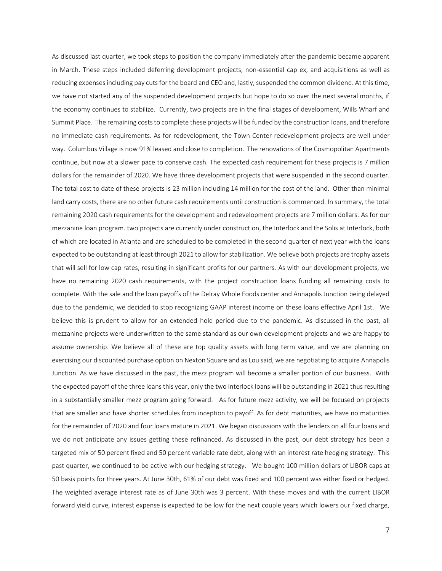As discussed last quarter, we took steps to position the company immediately after the pandemic became apparent in March. These steps included deferring development projects, non-essential cap ex, and acquisitions as well as reducing expenses including pay cuts for the board and CEO and, lastly, suspended the common dividend. At this time, we have not started any of the suspended development projects but hope to do so over the next several months, if the economy continues to stabilize. Currently, two projects are in the final stages of development, Wills Wharf and Summit Place. The remaining costs to complete these projects will be funded by the construction loans, and therefore no immediate cash requirements. As for redevelopment, the Town Center redevelopment projects are well under way. Columbus Village is now 91% leased and close to completion. The renovations of the Cosmopolitan Apartments continue, but now at a slower pace to conserve cash. The expected cash requirement for these projects is 7 million dollars for the remainder of 2020. We have three development projects that were suspended in the second quarter. The total cost to date of these projects is 23 million including 14 million for the cost of the land. Other than minimal land carry costs, there are no other future cash requirements until construction is commenced. In summary, the total remaining 2020 cash requirements for the development and redevelopment projects are 7 million dollars. As for our mezzanine loan program. two projects are currently under construction, the Interlock and the Solis at Interlock, both of which are located in Atlanta and are scheduled to be completed in the second quarter of next year with the loans expected to be outstanding at least through 2021 to allow for stabilization. We believe both projects are trophy assets that will sell for low cap rates, resulting in significant profits for our partners. As with our development projects, we have no remaining 2020 cash requirements, with the project construction loans funding all remaining costs to complete. With the sale and the loan payoffs of the Delray Whole Foods center and Annapolis Junction being delayed due to the pandemic, we decided to stop recognizing GAAP interest income on these loans effective April 1st. We believe this is prudent to allow for an extended hold period due to the pandemic. As discussed in the past, all mezzanine projects were underwritten to the same standard as our own development projects and we are happy to assume ownership. We believe all of these are top quality assets with long term value, and we are planning on exercising our discounted purchase option on Nexton Square and as Lou said, we are negotiating to acquire Annapolis Junction. As we have discussed in the past, the mezz program will become a smaller portion of our business. With the expected payoff of the three loans this year, only the two Interlock loans will be outstanding in 2021 thus resulting in a substantially smaller mezz program going forward. As for future mezz activity, we will be focused on projects that are smaller and have shorter schedules from inception to payoff. As for debt maturities, we have no maturities for the remainder of 2020 and four loans mature in 2021. We began discussions with the lenders on all four loans and we do not anticipate any issues getting these refinanced. As discussed in the past, our debt strategy has been a targeted mix of 50 percent fixed and 50 percent variable rate debt, along with an interest rate hedging strategy. This past quarter, we continued to be active with our hedging strategy. We bought 100 million dollars of LIBOR caps at 50 basis points for three years. At June 30th, 61% of our debt was fixed and 100 percent was either fixed or hedged. The weighted average interest rate as of June 30th was 3 percent. With these moves and with the current LIBOR forward yield curve, interest expense is expected to be low for the next couple years which lowers our fixed charge,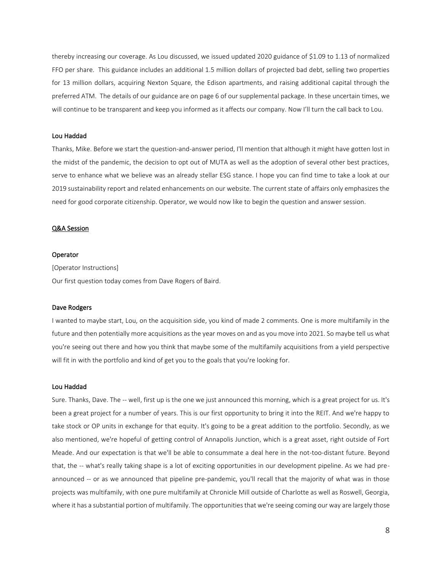thereby increasing our coverage. As Lou discussed, we issued updated 2020 guidance of \$1.09 to 1.13 of normalized FFO per share. This guidance includes an additional 1.5 million dollars of projected bad debt, selling two properties for 13 million dollars, acquiring Nexton Square, the Edison apartments, and raising additional capital through the preferred ATM. The details of our guidance are on page 6 of our supplemental package. In these uncertain times, we will continue to be transparent and keep you informed as it affects our company. Now I'll turn the call back to Lou.

### Lou Haddad

Thanks, Mike. Before we start the question-and-answer period, I'll mention that although it might have gotten lost in the midst of the pandemic, the decision to opt out of MUTA as well as the adoption of several other best practices, serve to enhance what we believe was an already stellar ESG stance. I hope you can find time to take a look at our 2019 sustainability report and related enhancements on our website. The current state of affairs only emphasizes the need for good corporate citizenship. Operator, we would now like to begin the question and answer session.

#### Q&A Session

#### Operator

[Operator Instructions] Our first question today comes from Dave Rogers of Baird.

#### Dave Rodgers

I wanted to maybe start, Lou, on the acquisition side, you kind of made 2 comments. One is more multifamily in the future and then potentially more acquisitions as the year moves on and as you move into 2021. So maybe tell us what you're seeing out there and how you think that maybe some of the multifamily acquisitions from a yield perspective will fit in with the portfolio and kind of get you to the goals that you're looking for.

#### Lou Haddad

Sure. Thanks, Dave. The -- well, first up is the one we just announced this morning, which is a great project for us. It's been a great project for a number of years. This is our first opportunity to bring it into the REIT. And we're happy to take stock or OP units in exchange for that equity. It's going to be a great addition to the portfolio. Secondly, as we also mentioned, we're hopeful of getting control of Annapolis Junction, which is a great asset, right outside of Fort Meade. And our expectation is that we'll be able to consummate a deal here in the not-too-distant future. Beyond that, the -- what's really taking shape is a lot of exciting opportunities in our development pipeline. As we had preannounced -- or as we announced that pipeline pre-pandemic, you'll recall that the majority of what was in those projects was multifamily, with one pure multifamily at Chronicle Mill outside of Charlotte as well as Roswell, Georgia, where it has a substantial portion of multifamily. The opportunities that we're seeing coming our way are largely those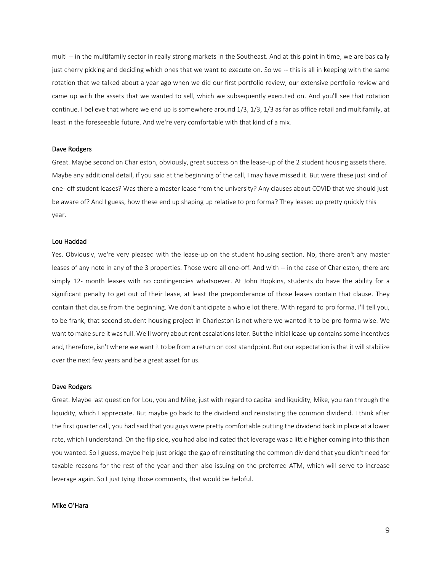multi -- in the multifamily sector in really strong markets in the Southeast. And at this point in time, we are basically just cherry picking and deciding which ones that we want to execute on. So we -- this is all in keeping with the same rotation that we talked about a year ago when we did our first portfolio review, our extensive portfolio review and came up with the assets that we wanted to sell, which we subsequently executed on. And you'll see that rotation continue. I believe that where we end up is somewhere around 1/3, 1/3, 1/3 as far as office retail and multifamily, at least in the foreseeable future. And we're very comfortable with that kind of a mix.

#### Dave Rodgers

Great. Maybe second on Charleston, obviously, great success on the lease-up of the 2 student housing assets there. Maybe any additional detail, if you said at the beginning of the call, I may have missed it. But were these just kind of one- off student leases? Was there a master lease from the university? Any clauses about COVID that we should just be aware of? And I guess, how these end up shaping up relative to pro forma? They leased up pretty quickly this year.

#### Lou Haddad

Yes. Obviously, we're very pleased with the lease-up on the student housing section. No, there aren't any master leases of any note in any of the 3 properties. Those were all one-off. And with -- in the case of Charleston, there are simply 12- month leases with no contingencies whatsoever. At John Hopkins, students do have the ability for a significant penalty to get out of their lease, at least the preponderance of those leases contain that clause. They contain that clause from the beginning. We don't anticipate a whole lot there. With regard to pro forma, I'll tell you, to be frank, that second student housing project in Charleston is not where we wanted it to be pro forma-wise. We want to make sure it was full. We'll worry about rent escalations later. But the initial lease-up contains some incentives and, therefore, isn't where we want it to be from a return on cost standpoint. But our expectation is that it will stabilize over the next few years and be a great asset for us.

#### Dave Rodgers

Great. Maybe last question for Lou, you and Mike, just with regard to capital and liquidity, Mike, you ran through the liquidity, which I appreciate. But maybe go back to the dividend and reinstating the common dividend. I think after the first quarter call, you had said that you guys were pretty comfortable putting the dividend back in place at a lower rate, which I understand. On the flip side, you had also indicated that leverage was a little higher coming into this than you wanted. So I guess, maybe help just bridge the gap of reinstituting the common dividend that you didn't need for taxable reasons for the rest of the year and then also issuing on the preferred ATM, which will serve to increase leverage again. So I just tying those comments, that would be helpful.

# Mike O'Hara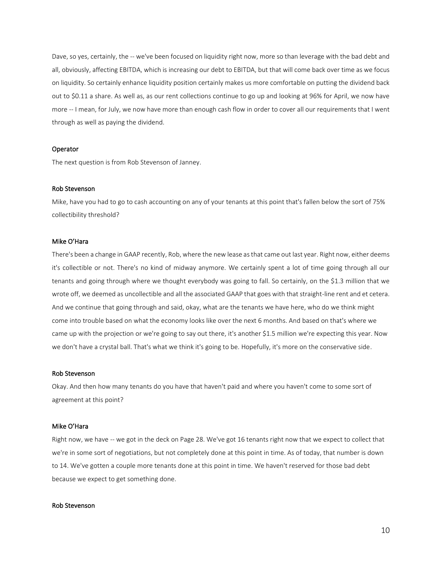Dave, so yes, certainly, the -- we've been focused on liquidity right now, more so than leverage with the bad debt and all, obviously, affecting EBITDA, which is increasing our debt to EBITDA, but that will come back over time as we focus on liquidity. So certainly enhance liquidity position certainly makes us more comfortable on putting the dividend back out to \$0.11 a share. As well as, as our rent collections continue to go up and looking at 96% for April, we now have more -- I mean, for July, we now have more than enough cash flow in order to cover all our requirements that I went through as well as paying the dividend.

#### Operator

The next question is from Rob Stevenson of Janney.

## Rob Stevenson

Mike, have you had to go to cash accounting on any of your tenants at this point that's fallen below the sort of 75% collectibility threshold?

## Mike O'Hara

There's been a change in GAAP recently, Rob, where the new lease as that came out last year. Right now, either deems it's collectible or not. There's no kind of midway anymore. We certainly spent a lot of time going through all our tenants and going through where we thought everybody was going to fall. So certainly, on the \$1.3 million that we wrote off, we deemed as uncollectible and all the associated GAAP that goes with that straight-line rent and et cetera. And we continue that going through and said, okay, what are the tenants we have here, who do we think might come into trouble based on what the economy looks like over the next 6 months. And based on that's where we came up with the projection or we're going to say out there, it's another \$1.5 million we're expecting this year. Now we don't have a crystal ball. That's what we think it's going to be. Hopefully, it's more on the conservative side.

#### Rob Stevenson

Okay. And then how many tenants do you have that haven't paid and where you haven't come to some sort of agreement at this point?

#### Mike O'Hara

Right now, we have -- we got in the deck on Page 28. We've got 16 tenants right now that we expect to collect that we're in some sort of negotiations, but not completely done at this point in time. As of today, that number is down to 14. We've gotten a couple more tenants done at this point in time. We haven't reserved for those bad debt because we expect to get something done.

#### Rob Stevenson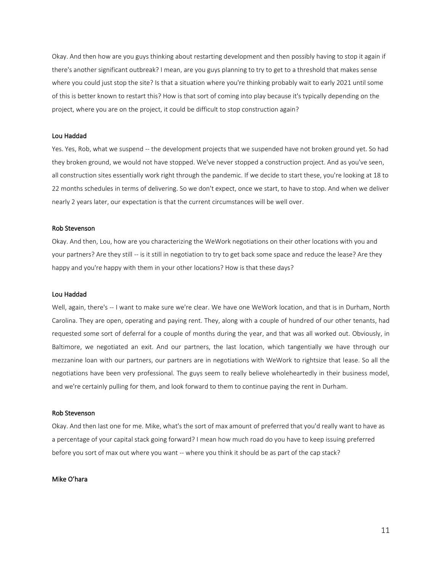Okay. And then how are you guys thinking about restarting development and then possibly having to stop it again if there's another significant outbreak? I mean, are you guys planning to try to get to a threshold that makes sense where you could just stop the site? Is that a situation where you're thinking probably wait to early 2021 until some of this is better known to restart this? How is that sort of coming into play because it's typically depending on the project, where you are on the project, it could be difficult to stop construction again?

#### Lou Haddad

Yes. Yes, Rob, what we suspend -- the development projects that we suspended have not broken ground yet. So had they broken ground, we would not have stopped. We've never stopped a construction project. And as you've seen, all construction sites essentially work right through the pandemic. If we decide to start these, you're looking at 18 to 22 months schedules in terms of delivering. So we don't expect, once we start, to have to stop. And when we deliver nearly 2 years later, our expectation is that the current circumstances will be well over.

#### Rob Stevenson

Okay. And then, Lou, how are you characterizing the WeWork negotiations on their other locations with you and your partners? Are they still -- is it still in negotiation to try to get back some space and reduce the lease? Are they happy and you're happy with them in your other locations? How is that these days?

#### Lou Haddad

Well, again, there's -- I want to make sure we're clear. We have one WeWork location, and that is in Durham, North Carolina. They are open, operating and paying rent. They, along with a couple of hundred of our other tenants, had requested some sort of deferral for a couple of months during the year, and that was all worked out. Obviously, in Baltimore, we negotiated an exit. And our partners, the last location, which tangentially we have through our mezzanine loan with our partners, our partners are in negotiations with WeWork to rightsize that lease. So all the negotiations have been very professional. The guys seem to really believe wholeheartedly in their business model, and we're certainly pulling for them, and look forward to them to continue paying the rent in Durham.

#### Rob Stevenson

Okay. And then last one for me. Mike, what's the sort of max amount of preferred that you'd really want to have as a percentage of your capital stack going forward? I mean how much road do you have to keep issuing preferred before you sort of max out where you want -- where you think it should be as part of the cap stack?

## Mike O'hara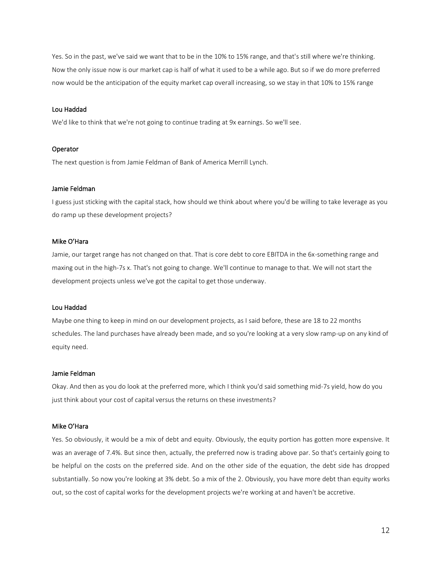Yes. So in the past, we've said we want that to be in the 10% to 15% range, and that's still where we're thinking. Now the only issue now is our market cap is half of what it used to be a while ago. But so if we do more preferred now would be the anticipation of the equity market cap overall increasing, so we stay in that 10% to 15% range

## Lou Haddad

We'd like to think that we're not going to continue trading at 9x earnings. So we'll see.

#### Operator

The next question is from Jamie Feldman of Bank of America Merrill Lynch.

## Jamie Feldman

I guess just sticking with the capital stack, how should we think about where you'd be willing to take leverage as you do ramp up these development projects?

## Mike O'Hara

Jamie, our target range has not changed on that. That is core debt to core EBITDA in the 6x-something range and maxing out in the high-7s x. That's not going to change. We'll continue to manage to that. We will not start the development projects unless we've got the capital to get those underway.

# Lou Haddad

Maybe one thing to keep in mind on our development projects, as I said before, these are 18 to 22 months schedules. The land purchases have already been made, and so you're looking at a very slow ramp-up on any kind of equity need.

## Jamie Feldman

Okay. And then as you do look at the preferred more, which I think you'd said something mid-7s yield, how do you just think about your cost of capital versus the returns on these investments?

#### Mike O'Hara

Yes. So obviously, it would be a mix of debt and equity. Obviously, the equity portion has gotten more expensive. It was an average of 7.4%. But since then, actually, the preferred now is trading above par. So that's certainly going to be helpful on the costs on the preferred side. And on the other side of the equation, the debt side has dropped substantially. So now you're looking at 3% debt. So a mix of the 2. Obviously, you have more debt than equity works out, so the cost of capital works for the development projects we're working at and haven't be accretive.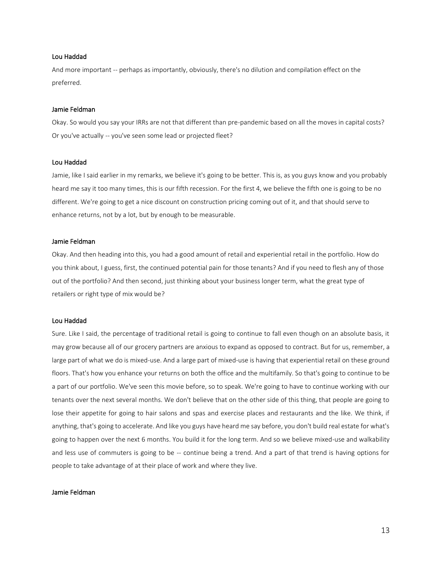#### Lou Haddad

And more important -- perhaps as importantly, obviously, there's no dilution and compilation effect on the preferred.

#### Jamie Feldman

Okay. So would you say your IRRs are not that different than pre-pandemic based on all the moves in capital costs? Or you've actually -- you've seen some lead or projected fleet?

# Lou Haddad

Jamie, like I said earlier in my remarks, we believe it's going to be better. This is, as you guys know and you probably heard me say it too many times, this is our fifth recession. For the first 4, we believe the fifth one is going to be no different. We're going to get a nice discount on construction pricing coming out of it, and that should serve to enhance returns, not by a lot, but by enough to be measurable.

#### Jamie Feldman

Okay. And then heading into this, you had a good amount of retail and experiential retail in the portfolio. How do you think about, I guess, first, the continued potential pain for those tenants? And if you need to flesh any of those out of the portfolio? And then second, just thinking about your business longer term, what the great type of retailers or right type of mix would be?

## Lou Haddad

Sure. Like I said, the percentage of traditional retail is going to continue to fall even though on an absolute basis, it may grow because all of our grocery partners are anxious to expand as opposed to contract. But for us, remember, a large part of what we do is mixed-use. And a large part of mixed-use is having that experiential retail on these ground floors. That's how you enhance your returns on both the office and the multifamily. So that's going to continue to be a part of our portfolio. We've seen this movie before, so to speak. We're going to have to continue working with our tenants over the next several months. We don't believe that on the other side of this thing, that people are going to lose their appetite for going to hair salons and spas and exercise places and restaurants and the like. We think, if anything, that's going to accelerate. And like you guys have heard me say before, you don't build real estate for what's going to happen over the next 6 months. You build it for the long term. And so we believe mixed-use and walkability and less use of commuters is going to be -- continue being a trend. And a part of that trend is having options for people to take advantage of at their place of work and where they live.

# Jamie Feldman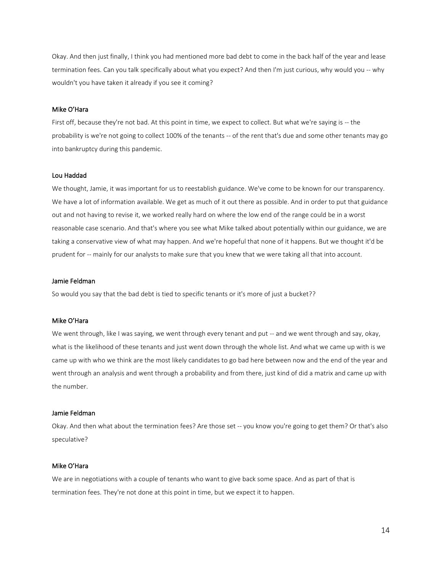Okay. And then just finally, I think you had mentioned more bad debt to come in the back half of the year and lease termination fees. Can you talk specifically about what you expect? And then I'm just curious, why would you -- why wouldn't you have taken it already if you see it coming?

## Mike O'Hara

First off, because they're not bad. At this point in time, we expect to collect. But what we're saying is -- the probability is we're not going to collect 100% of the tenants -- of the rent that's due and some other tenants may go into bankruptcy during this pandemic.

## Lou Haddad

We thought, Jamie, it was important for us to reestablish guidance. We've come to be known for our transparency. We have a lot of information available. We get as much of it out there as possible. And in order to put that guidance out and not having to revise it, we worked really hard on where the low end of the range could be in a worst reasonable case scenario. And that's where you see what Mike talked about potentially within our guidance, we are taking a conservative view of what may happen. And we're hopeful that none of it happens. But we thought it'd be prudent for -- mainly for our analysts to make sure that you knew that we were taking all that into account.

## Jamie Feldman

So would you say that the bad debt is tied to specific tenants or it's more of just a bucket??

# Mike O'Hara

We went through, like I was saying, we went through every tenant and put -- and we went through and say, okay, what is the likelihood of these tenants and just went down through the whole list. And what we came up with is we came up with who we think are the most likely candidates to go bad here between now and the end of the year and went through an analysis and went through a probability and from there, just kind of did a matrix and came up with the number.

#### Jamie Feldman

Okay. And then what about the termination fees? Are those set -- you know you're going to get them? Or that's also speculative?

#### Mike O'Hara

We are in negotiations with a couple of tenants who want to give back some space. And as part of that is termination fees. They're not done at this point in time, but we expect it to happen.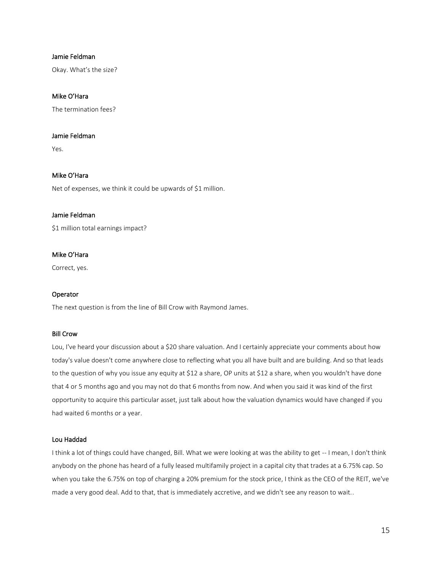# Jamie Feldman

Okay. What's the size?

# Mike O'Hara

The termination fees?

## Jamie Feldman

Yes.

# Mike O'Hara

Net of expenses, we think it could be upwards of \$1 million.

#### Jamie Feldman

\$1 million total earnings impact?

# Mike O'Hara

Correct, yes.

## Operator

The next question is from the line of Bill Crow with Raymond James.

#### Bill Crow

Lou, I've heard your discussion about a \$20 share valuation. And I certainly appreciate your comments about how today's value doesn't come anywhere close to reflecting what you all have built and are building. And so that leads to the question of why you issue any equity at \$12 a share, OP units at \$12 a share, when you wouldn't have done that 4 or 5 months ago and you may not do that 6 months from now. And when you said it was kind of the first opportunity to acquire this particular asset, just talk about how the valuation dynamics would have changed if you had waited 6 months or a year.

# Lou Haddad

I think a lot of things could have changed, Bill. What we were looking at was the ability to get -- I mean, I don't think anybody on the phone has heard of a fully leased multifamily project in a capital city that trades at a 6.75% cap. So when you take the 6.75% on top of charging a 20% premium for the stock price, I think as the CEO of the REIT, we've made a very good deal. Add to that, that is immediately accretive, and we didn't see any reason to wait..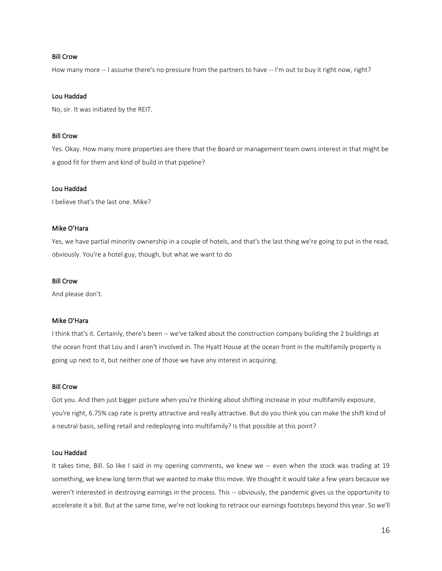## Bill Crow

How many more -- I assume there's no pressure from the partners to have -- I'm out to buy it right now, right?

# Lou Haddad

No, sir. It was initiated by the REIT.

## Bill Crow

Yes. Okay. How many more properties are there that the Board or management team owns interest in that might be a good fit for them and kind of build in that pipeline?

## Lou Haddad

I believe that's the last one. Mike?

# Mike O'Hara

Yes, we have partial minority ownership in a couple of hotels, and that's the last thing we're going to put in the read, obviously. You're a hotel guy, though, but what we want to do

## Bill Crow

And please don't.

# Mike O'Hara

I think that's it. Certainly, there's been -- we've talked about the construction company building the 2 buildings at the ocean front that Lou and I aren't involved in. The Hyatt House at the ocean front in the multifamily property is going up next to it, but neither one of those we have any interest in acquiring.

#### Bill Crow

Got you. And then just bigger picture when you're thinking about shifting increase in your multifamily exposure, you're right, 6.75% cap rate is pretty attractive and really attractive. But do you think you can make the shift kind of a neutral basis, selling retail and redeploying into multifamily? Is that possible at this point?

## Lou Haddad

It takes time, Bill. So like I said in my opening comments, we knew we -- even when the stock was trading at 19 something, we knew long term that we wanted to make this move. We thought it would take a few years because we weren't interested in destroying earnings in the process. This -- obviously, the pandemic gives us the opportunity to accelerate it a bit. But at the same time, we're not looking to retrace our earnings footsteps beyond this year. So we'll